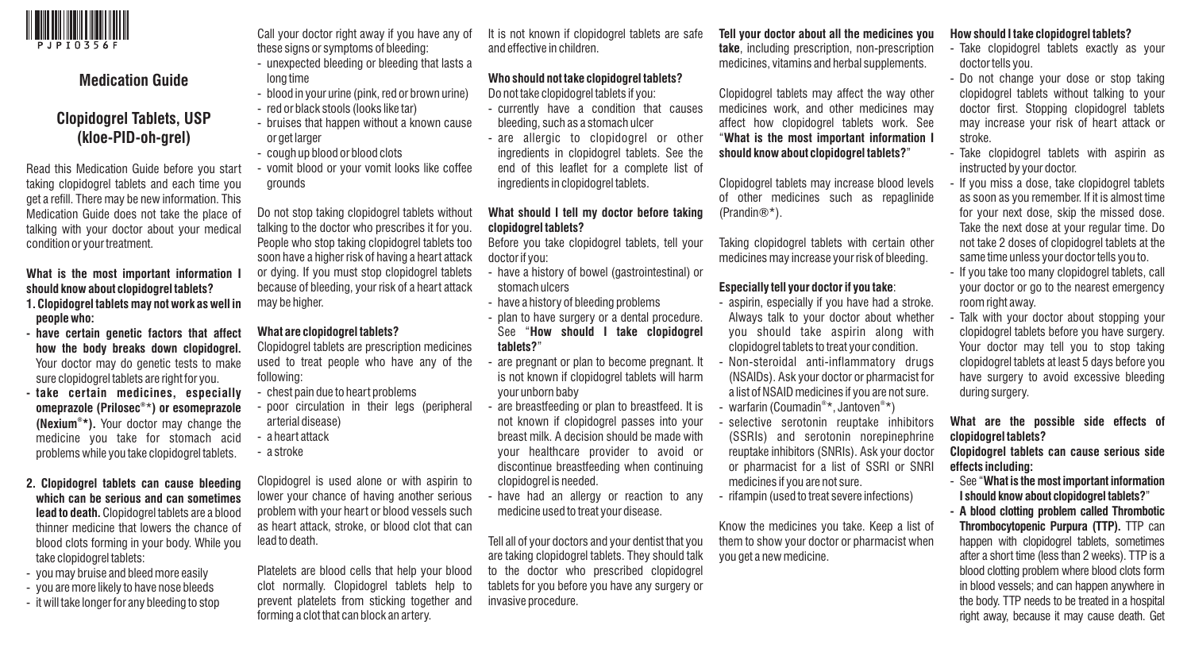

# **Medication Guide**

# **Clopidogrel Tablets, USP (kloe-PID-oh-grel)**

Read this Medication Guide before you start taking clopidogrel tablets and each time you get a refill. There may be new information. This Medication Guide does not take the place of talking with your doctor about your medical condition or your treatment.

### **What is the most important information I should know about clopidogrel tablets?**

- **1. Clopidogrel tablets may not work as well in people who:**
- **- have certain genetic factors that affect how the body breaks down clopidogrel.**  Your doctor may do genetic tests to make sure clopidogrel tablets are right for you.
- **- take certain medicines, especially ® omeprazole (Prilosec** \***) or esomeprazole ® (Nexium \*).** Your doctor may change the medicine you take for stomach acid problems while you take clopidogrel tablets.
- **2. Clopidogrel tablets can cause bleeding which can be serious and can sometimes lead to death.** Clopidogrel tablets are a blood thinner medicine that lowers the chance of blood clots forming in your body. While you take clopidogrel tablets:
- you may bruise and bleed more easily
- you are more likely to have nose bleeds
- it will take longer for any bleeding to stop

Call your doctor right away if you have any of these signs or symptoms of bleeding:

- unexpected bleeding or bleeding that lasts a long time
- blood in your urine (pink, red or brown urine)
- red or black stools (looks like tar)
- bruises that happen without a known cause or get larger
- cough up blood or blood clots
- vomit blood or your vomit looks like coffee grounds

Do not stop taking clopidogrel tablets without talking to the doctor who prescribes it for you. People who stop taking clopidogrel tablets too soon have a higher risk of having a heart attack or dying. If you must stop clopidogrel tablets because of bleeding, your risk of a heart attack may be higher.

#### **What are clopidogrel tablets?**

Clopidogrel tablets are prescription medicines used to treat people who have any of the following:

- chest pain due to heart problems
- poor circulation in their legs (peripheral arterial disease)
- a heart attack
- a stroke

Clopidogrel is used alone or with aspirin to lower your chance of having another serious problem with your heart or blood vessels such as heart attack, stroke, or blood clot that can lead to death.

Platelets are blood cells that help your blood clot normally. Clopidogrel tablets help to prevent platelets from sticking together and forming a clot that can block an artery.

It is not known if clopidogrel tablets are safe and effective in children.

# **Who should not take clopidogrel tablets?**

- Do not take clopidogrel tablets if you: - currently have a condition that causes
- bleeding, such as a stomach ulcer
- are allergic to clopidogrel or other ingredients in clopidogrel tablets. See the end of this leaflet for a complete list of ingredients in clopidogrel tablets.

### **What should I tell my doctor before taking clopidogrel tablets?**

Before you take clopidogrel tablets, tell your doctor if you:

- have a history of bowel (gastrointestinal) or stomach ulcers
- have a history of bleeding problems
- plan to have surgery or a dental procedure. See "**How should I take clopidogrel tablets?**"
- are pregnant or plan to become pregnant. It is not known if clopidogrel tablets will harm your unborn baby
- are breastfeeding or plan to breastfeed. It is not known if clopidogrel passes into your breast milk. A decision should be made with your healthcare provider to avoid or discontinue breastfeeding when continuing clopidogrel is needed.
- have had an allergy or reaction to any medicine used to treat your disease.

Tell all of your doctors and your dentist that you are taking clopidogrel tablets. They should talk to the doctor who prescribed clopidogrel tablets for you before you have any surgery or invasive procedure.

**Tell your doctor about all the medicines you take**, including prescription, non-prescription medicines, vitamins and herbal supplements.

Clopidogrel tablets may affect the way other medicines work, and other medicines may affect how clopidogrel tablets work. See "**What is the most important information I should know about clopidogrel tablets?**"

Clopidogrel tablets may increase blood levels of other medicines such as repaglinide (Prandin®\*).

Taking clopidogrel tablets with certain other medicines may increase your risk of bleeding.

#### **Especially tell your doctor if you take**:

- aspirin, especially if you have had a stroke. Always talk to your doctor about whether you should take aspirin along with clopidogrel tablets to treat your condition.
- Non-steroidal anti-inflammatory drugs (NSAIDs). Ask your doctor or pharmacist for a list of NSAID medicines if you are not sure. - warfarin (Coumadin<sup>®\*</sup>, Jantoven<sup>®\*</sup>)
- selective serotonin reuptake inhibitors (SSRIs) and serotonin norepinephrine reuptake inhibitors (SNRIs). Ask your doctor
- or pharmacist for a list of SSRI or SNRI medicines if you are not sure.
- rifampin (used to treat severe infections)

Know the medicines you take. Keep a list of them to show your doctor or pharmacist when you get a new medicine.

#### **How should I take clopidogrel tablets?**

- Take clopidogrel tablets exactly as your doctor tells you.
- Do not change your dose or stop taking clopidogrel tablets without talking to your doctor first. Stopping clopidogrel tablets may increase your risk of heart attack or stroke.
- Take clopidogrel tablets with aspirin as instructed by your doctor.
- If you miss a dose, take clopidogrel tablets as soon as you remember. If it is almost time for your next dose, skip the missed dose. Take the next dose at your regular time. Do not take 2 doses of clopidogrel tablets at the same time unless your doctor tells you to.
- If you take too many clopidogrel tablets, call your doctor or go to the nearest emergency room right away.
- Talk with your doctor about stopping your clopidogrel tablets before you have surgery. Your doctor may tell you to stop taking clopidogrel tablets at least 5 days before you have surgery to avoid excessive bleeding during surgery.

**What are the possible side effects of clopidogrel tablets?** 

**Clopidogrel tablets can cause serious side effects including:** 

- See "**What is the most important information I should know about clopidogrel tablets?**"
- **- A blood clotting problem called Thrombotic Thrombocytopenic Purpura (TTP).** TTP can happen with clopidogrel tablets, sometimes after a short time (less than 2 weeks). TTP is a blood clotting problem where blood clots form in blood vessels; and can happen anywhere in the body. TTP needs to be treated in a hospital right away, because it may cause death. Get